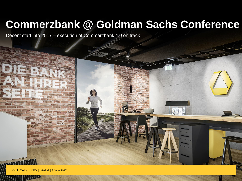# **Commerzbank @ Goldman Sachs Conference**

Decent start into 2017 – execution of Commerzbank 4.0 on track

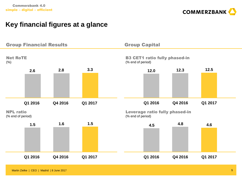

# **Key financial figures at a glance**

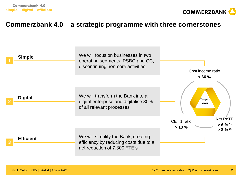

## **Commerzbank 4.0 – a strategic programme with three cornerstones**

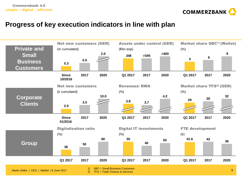

## **Progress of key execution indicators in line with plan**

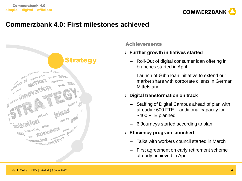

# **Commerzbank 4.0: First milestones achieved**



#### **Achievements**

#### › **Further growth initiatives started**

- Roll-Out of digital consumer loan offering in branches started in April
- Launch of €6bn loan initiative to extend our market share with corporate clients in German **Mittelstand**

#### › **Digital transformation on track**

- Staffing of Digital Campus ahead of plan with already ~600 FTE – additional capacity for ~400 FTE planned
- 6 Journeys started according to plan
- › **Efficiency program launched**
	- Talks with workers council started in March
	- First agreement on early retirement scheme already achieved in April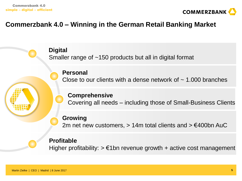

# **Commerzbank 4.0 – Winning in the German Retail Banking Market**

**Digital** Smaller range of ~150 products but all in digital format

## **Personal**

Close to our clients with a dense network of  $\sim$  1.000 branches

### **Comprehensive**

Covering all needs – including those of Small-Business Clients

## **Growing**

2m net new customers,  $> 14$ m total clients and  $> \text{\textsterling}400$ bn AuC

## **Profitable**

Higher profitability:  $> \epsilon$ 1bn revenue growth + active cost management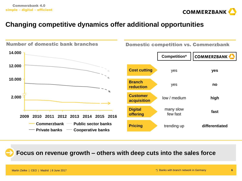

# **Changing competitive dynamics offer additional opportunities**



**Focus on revenue growth – others with deep cuts into the sales force**

Martin Zielke | CEO | Madrid | 8 June 2017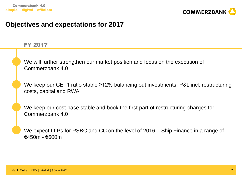

## **Objectives and expectations for 2017**

#### FY 2017

We will further strengthen our market position and focus on the execution of Commerzbank 4.0

We keep our CET1 ratio stable ≥12% balancing out investments, P&L incl. restructuring costs, capital and RWA

We keep our cost base stable and book the first part of restructuring charges for Commerzbank 4.0

We expect LLPs for PSBC and CC on the level of 2016 – Ship Finance in a range of €450m - €600m